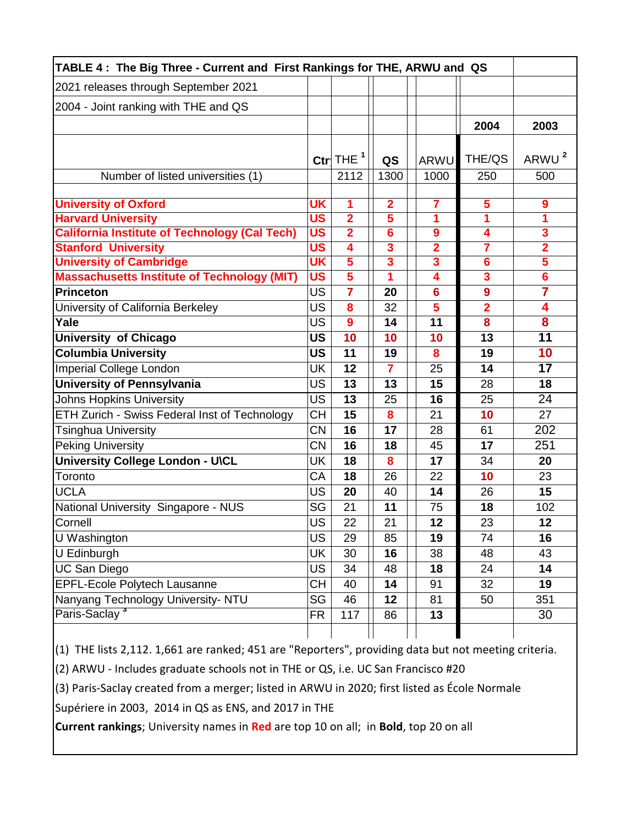| TABLE 4: The Big Three - Current and First Rankings for THE, ARWU and QS |           |                         |                         |                         |                         |                         |  |  |  |
|--------------------------------------------------------------------------|-----------|-------------------------|-------------------------|-------------------------|-------------------------|-------------------------|--|--|--|
| 2021 releases through September 2021                                     |           |                         |                         |                         |                         |                         |  |  |  |
| 2004 - Joint ranking with THE and QS                                     |           |                         |                         |                         |                         |                         |  |  |  |
|                                                                          |           |                         |                         |                         | 2004                    | 2003                    |  |  |  |
|                                                                          |           |                         |                         |                         |                         |                         |  |  |  |
|                                                                          |           | Ctr $THE1$              | QS                      | <b>ARWU</b>             | THE/QS                  | ARWU <sup>2</sup>       |  |  |  |
| Number of listed universities (1)                                        |           | 2112                    | 1300                    | 1000                    | 250                     | 500                     |  |  |  |
|                                                                          |           |                         |                         |                         |                         |                         |  |  |  |
| <b>University of Oxford</b>                                              | <b>UK</b> | 1                       | $\overline{\mathbf{2}}$ | $\overline{\mathbf{7}}$ | 5                       | 9                       |  |  |  |
| <b>Harvard University</b>                                                | US        | $\overline{2}$          | $\overline{\mathbf{5}}$ | 1                       | 1                       | 1                       |  |  |  |
| <b>California Institute of Technology (Cal Tech)</b>                     | <b>US</b> | $\overline{\mathbf{2}}$ | 6                       | 9                       | 4                       | 3                       |  |  |  |
| <b>Stanford University</b>                                               | <b>US</b> | $\overline{4}$          | $\overline{\mathbf{3}}$ | $\overline{2}$          | $\overline{\mathbf{7}}$ | $\overline{2}$          |  |  |  |
| <b>University of Cambridge</b>                                           | UK        | $5\overline{5}$         | $\overline{\mathbf{3}}$ | $\overline{\mathbf{3}}$ | $6\phantom{1}6$         | $\overline{\mathbf{5}}$ |  |  |  |
| <b>Massachusetts Institute of Technology (MIT)</b>                       | US        | $\overline{\mathbf{5}}$ | 1                       | 4                       | $\overline{\mathbf{3}}$ | $\overline{\bf{6}}$     |  |  |  |
| <b>Princeton</b>                                                         | <b>US</b> | $\overline{7}$          | 20                      | $6\phantom{1}6$         | 9                       | $\overline{\mathbf{7}}$ |  |  |  |
| University of California Berkeley                                        | US        | 8                       | 32                      | 5                       | $\overline{2}$          | 4                       |  |  |  |
| Yale                                                                     | <b>US</b> | 9                       | 14                      | 11                      | 8                       | 8                       |  |  |  |
| <b>University of Chicago</b>                                             | <b>US</b> | 10                      | 10                      | 10                      | 13                      | 11                      |  |  |  |
| <b>Columbia University</b>                                               | <b>US</b> | 11                      | 19                      | 8                       | 19                      | 10                      |  |  |  |
| Imperial College London                                                  | UK        | 12                      | $\overline{7}$          | 25                      | 14                      | 17                      |  |  |  |
| <b>University of Pennsylvania</b>                                        | <b>US</b> | 13                      | 13                      | 15                      | 28                      | 18                      |  |  |  |
| <b>Johns Hopkins University</b>                                          | <b>US</b> | 13                      | 25                      | 16                      | 25                      | 24                      |  |  |  |
| ETH Zurich - Swiss Federal Inst of Technology                            | СH        | 15                      | 8                       | 21                      | 10                      | 27                      |  |  |  |
| <b>Tsinghua University</b>                                               | <b>CN</b> | 16                      | 17                      | 28                      | 61                      | 202                     |  |  |  |
| <b>Peking University</b>                                                 | <b>CN</b> | 16                      | 18                      | 45                      | 17                      | 251                     |  |  |  |
| University College London - U\CL                                         | UK        | 18                      | 8                       | 17                      | 34                      | 20                      |  |  |  |
| Toronto                                                                  | CA        | 18                      | 26                      | 22                      | 10                      | 23                      |  |  |  |
| <b>UCLA</b>                                                              | US        | 20                      | 40                      | 14                      | 26                      | 15                      |  |  |  |
| National University Singapore - NUS                                      | SG        | 21                      | 11                      | 75                      | 18                      | 102                     |  |  |  |
| Cornell                                                                  | <b>US</b> | 22                      | 21                      | 12                      | 23                      | 12                      |  |  |  |
| U Washington                                                             | <b>US</b> | 29                      | 85                      | 19                      | 74                      | 16                      |  |  |  |
| U Edinburgh                                                              | UK        | 30                      | 16                      | 38                      | 48                      | 43                      |  |  |  |
| <b>UC San Diego</b>                                                      | <b>US</b> | 34                      | 48                      | 18                      | 24                      | 14                      |  |  |  |
| <b>EPFL-Ecole Polytech Lausanne</b>                                      | <b>CH</b> | 40                      | 14                      | 91                      | 32                      | 19                      |  |  |  |
| Nanyang Technology University- NTU                                       | SG        | 46                      | 12                      | 81                      | 50                      | 351                     |  |  |  |
| Paris-Saclay <sup>3</sup>                                                | <b>FR</b> | 117                     | 86                      | 13                      |                         | 30                      |  |  |  |
|                                                                          |           |                         |                         |                         |                         |                         |  |  |  |

 $(1)$  THE lists 2,112. 1,661 are ranked; 451 are "Reporters", providing data but not meeting criteria.

(2) ARWU - Includes graduate schools not in THE or QS, i.e. UC San Francisco #20

(3) Paris-Saclay created from a merger; listed in ARWU in 2020; first listed as École Normale

Supériere in 2003, 2014 in QS as ENS, and 2017 in THE

**Current rankings**; University names in **Red** are top 10 on all; in **Bold**, top 20 on all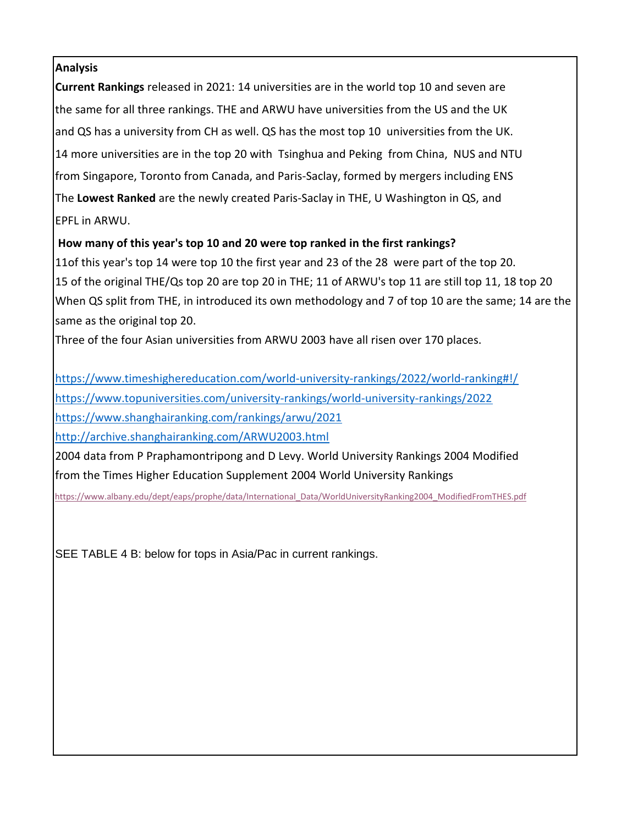## **Analysis**

**Current Rankings** released in 2021: 14 universities are in the world top 10 and seven are the same for all three rankings. THE and ARWU have universities from the US and the UK and QS has a university from CH as well. QS has the most top 10 universities from the UK. 14 more universities are in the top 20 with Tsinghua and Peking from China, NUS and NTU from Singapore, Toronto from Canada, and Paris-Saclay, formed by mergers including ENS The **Lowest Ranked** are the newly created Paris-Saclay in THE, U Washington in QS, and EPFL in ARWU.

## **How many of this year's top 10 and 20 were top ranked in the first rankings?**

11of this year's top 14 were top 10 the first year and 23 of the 28 were part of the top 20. 15 of the original THE/Qs top 20 are top 20 in THE; 11 of ARWU's top 11 are still top 11, 18 top 20 When QS split from THE, in introduced its own methodology and 7 of top 10 are the same; 14 are the same as the original top 20.

Three of the four Asian universities from ARWU 2003 have all risen over 170 places.

<https://www.timeshighereducation.com/world-university-rankings/2022/world-ranking#!/> <https://www.topuniversities.com/university-rankings/world-university-rankings/2022>

<https://www.shanghairanking.com/rankings/arwu/2021>

<http://archive.shanghairanking.com/ARWU2003.html>

2004 data from P Praphamontripong and D Levy. World University Rankings 2004 Modified from the Times Higher Education Supplement 2004 World University Rankings

[https://www.albany.edu/dept/eaps/prophe/data/International\\_Data/WorldUniversityRanking2004\\_ModifiedFromTHES.pdf](https://www.albany.edu/dept/eaps/prophe/data/International_Data/WorldUniversityRanking2004_ModifiedFromTHES.pdf)

SEE TABLE 4 B: below for tops in Asia/Pac in current rankings.